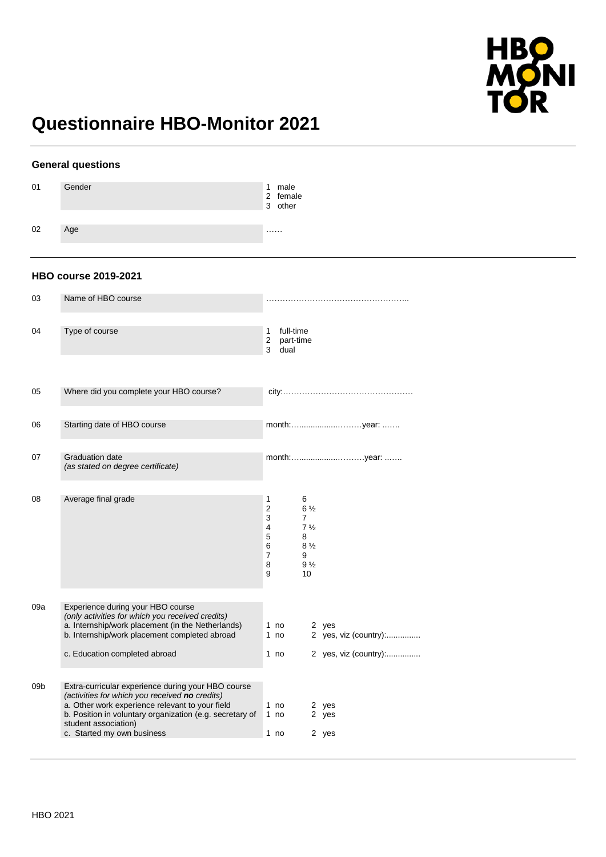

# **Questionnaire HBO-Monitor 2021**

|                 | <b>General questions</b>                                                                                                                                                                                                                                                  |                                                        |                                |                                                                            |                         |                       |
|-----------------|---------------------------------------------------------------------------------------------------------------------------------------------------------------------------------------------------------------------------------------------------------------------------|--------------------------------------------------------|--------------------------------|----------------------------------------------------------------------------|-------------------------|-----------------------|
| 01              | Gender                                                                                                                                                                                                                                                                    |                                                        | 1 male<br>2 female<br>3 other  |                                                                            |                         |                       |
| 02              | Age                                                                                                                                                                                                                                                                       | <b>.</b>                                               |                                |                                                                            |                         |                       |
|                 | <b>HBO course 2019-2021</b>                                                                                                                                                                                                                                               |                                                        |                                |                                                                            |                         |                       |
| 03              | Name of HBO course                                                                                                                                                                                                                                                        |                                                        |                                |                                                                            |                         |                       |
| 04              | Type of course                                                                                                                                                                                                                                                            | 1<br>2<br>3                                            | full-time<br>part-time<br>dual |                                                                            |                         |                       |
| 05              | Where did you complete your HBO course?                                                                                                                                                                                                                                   |                                                        |                                |                                                                            |                         |                       |
| 06              | Starting date of HBO course                                                                                                                                                                                                                                               |                                                        |                                |                                                                            |                         |                       |
| 07              | <b>Graduation date</b><br>(as stated on degree certificate)                                                                                                                                                                                                               |                                                        |                                |                                                                            |                         |                       |
| 08              | Average final grade                                                                                                                                                                                                                                                       | 1<br>$\overline{c}$<br>3<br>4<br>5<br>6<br>7<br>8<br>9 | 6<br>7<br>8<br>9               | $6\frac{1}{2}$<br>$7\frac{1}{2}$<br>$8\frac{1}{2}$<br>$9\frac{1}{2}$<br>10 |                         |                       |
| 09a             | Experience during your HBO course<br>(only activities for which you received credits)<br>a. Internship/work placement (in the Netherlands)<br>b. Internship/work placement completed abroad                                                                               | 1 no<br>1 no                                           |                                |                                                                            | 2 yes                   | 2 yes, viz (country): |
|                 | c. Education completed abroad                                                                                                                                                                                                                                             | 1 no                                                   |                                |                                                                            |                         | 2 yes, viz (country): |
| 09 <sub>b</sub> | Extra-curricular experience during your HBO course<br>(activities for which you received no credits)<br>a. Other work experience relevant to your field<br>b. Position in voluntary organization (e.g. secretary of<br>student association)<br>c. Started my own business | 1 no<br>1 no<br>1 no                                   |                                |                                                                            | 2 yes<br>2 yes<br>2 yes |                       |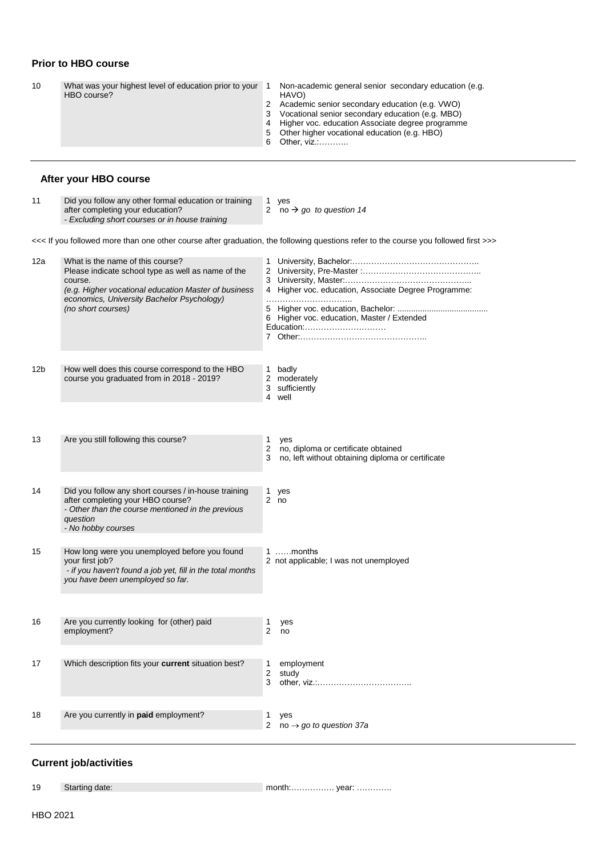### **Prior to HBO course**

|  | 10 | What was your highest level of education prior to your<br>HBO course? |  | Non-academic general senior secondary education (e.g.<br>HAVO)<br>2 Academic senior secondary education (e.g. VWO)<br>3 Vocational senior secondary education (e.g. MBO)<br>4 Higher voc. education Associate degree programme<br>5 Other higher vocational education (e.g. HBO)<br>6 Other, viz.: |  |
|--|----|-----------------------------------------------------------------------|--|----------------------------------------------------------------------------------------------------------------------------------------------------------------------------------------------------------------------------------------------------------------------------------------------------|--|
|--|----|-----------------------------------------------------------------------|--|----------------------------------------------------------------------------------------------------------------------------------------------------------------------------------------------------------------------------------------------------------------------------------------------------|--|

### **After your HBO course**

| 11 | Did you follow any other formal education or training |  |
|----|-------------------------------------------------------|--|
|    | after completing your education?                      |  |
|    | - Excluding short courses or in house training        |  |

| Did you follow any other formal education or training | 1 ves                 |
|-------------------------------------------------------|-----------------------|
| after completing your education?                      | 2 no $\rightarrow$ go |
|                                                       |                       |

2 no *go to question 14*

<<< If you followed more than one other course after graduation, the following questions refer to the course you followed first >>>

| 12a | What is the name of this course?<br>Please indicate school type as well as name of the<br>course.<br>(e.g. Higher vocational education Master of business<br>economics, University Bachelor Psychology)<br>(no short courses) | 4 Higher voc. education, Associate Degree Programme:<br>6 Higher voc. education, Master / Extended<br>Education: |
|-----|-------------------------------------------------------------------------------------------------------------------------------------------------------------------------------------------------------------------------------|------------------------------------------------------------------------------------------------------------------|
| 12b | How well does this course correspond to the HBO<br>course you graduated from in 2018 - 2019?                                                                                                                                  | 1 badly<br>2 moderately<br>3 sufficiently<br>4 well                                                              |
| 13  | Are you still following this course?                                                                                                                                                                                          | 1<br>yes<br>2<br>no, diploma or certificate obtained<br>3<br>no, left without obtaining diploma or certificate   |
| 14  | Did you follow any short courses / in-house training<br>after completing your HBO course?<br>- Other than the course mentioned in the previous<br>question<br>- No hobby courses                                              | 1.<br>yes<br>2 <sub>no</sub>                                                                                     |
| 15  | How long were you unemployed before you found<br>your first job?<br>- if you haven't found a job yet, fill in the total months<br>you have been unemployed so far.                                                            | 1 months<br>2 not applicable; I was not unemployed                                                               |
| 16  | Are you currently looking for (other) paid<br>employment?                                                                                                                                                                     | 1<br>yes<br>2<br>no                                                                                              |
| 17  | Which description fits your <b>current</b> situation best?                                                                                                                                                                    | employment<br>$\mathbf{1}$<br>2<br>study<br>3                                                                    |
| 18  | Are you currently in paid employment?                                                                                                                                                                                         | 1<br>yes<br>2<br>no $\rightarrow$ go to question 37a                                                             |

#### **Current job/activities**

19 Starting date: month:……………. year: ………….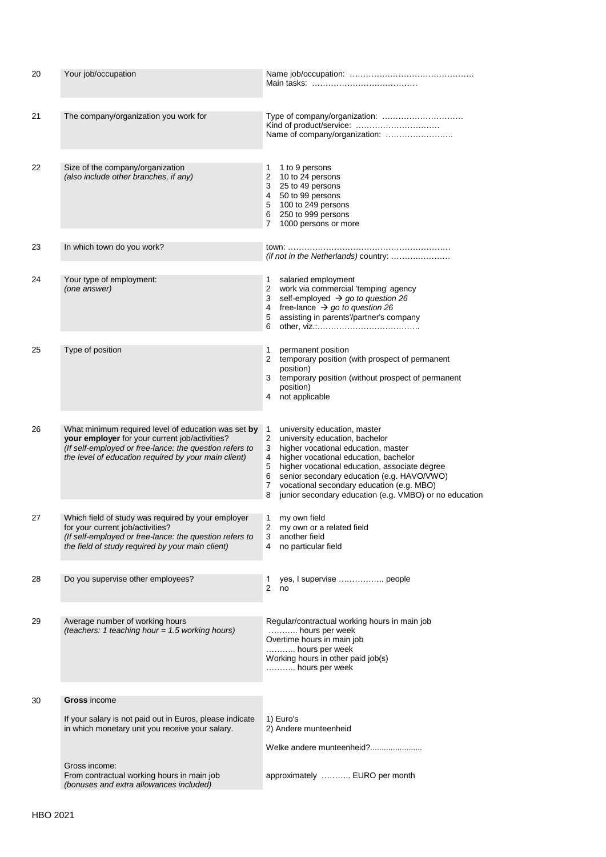| 20 | Your job/occupation                                                                                                                                                                                                      | Main tasks: <b>Main tasks:</b> Main tasks: <b>Main tasks:</b>                                                                                                                                                                                                                                                                                                                                |  |  |  |  |  |
|----|--------------------------------------------------------------------------------------------------------------------------------------------------------------------------------------------------------------------------|----------------------------------------------------------------------------------------------------------------------------------------------------------------------------------------------------------------------------------------------------------------------------------------------------------------------------------------------------------------------------------------------|--|--|--|--|--|
| 21 | The company/organization you work for                                                                                                                                                                                    | Type of company/organization:<br>Kind of product/service:<br>Name of company/organization:                                                                                                                                                                                                                                                                                                   |  |  |  |  |  |
| 22 | Size of the company/organization<br>(also include other branches, if any)                                                                                                                                                | 1 to 9 persons<br>1<br>2 10 to 24 persons<br>3 25 to 49 persons<br>4 50 to 99 persons<br>5 100 to 249 persons<br>6 250 to 999 persons<br>1000 persons or more<br>$7^{\circ}$                                                                                                                                                                                                                 |  |  |  |  |  |
| 23 | In which town do you work?                                                                                                                                                                                               | (if not in the Netherlands) country:                                                                                                                                                                                                                                                                                                                                                         |  |  |  |  |  |
| 24 | Your type of employment:<br>(one answer)                                                                                                                                                                                 | 1<br>salaried employment<br>2 work via commercial 'temping' agency<br>self-employed $\rightarrow$ go to question 26<br>3<br>free-lance $\rightarrow$ go to question 26<br>4<br>assisting in parents'/partner's company<br>5<br>6                                                                                                                                                             |  |  |  |  |  |
| 25 | Type of position                                                                                                                                                                                                         | 1<br>permanent position<br>2 temporary position (with prospect of permanent<br>position)<br>3 temporary position (without prospect of permanent<br>position)<br>not applicable<br>4                                                                                                                                                                                                          |  |  |  |  |  |
| 26 | What minimum required level of education was set by<br>your employer for your current job/activities?<br>(If self-employed or free-lance: the question refers to<br>the level of education required by your main client) | 1<br>university education, master<br>2<br>university education, bachelor<br>3<br>higher vocational education, master<br>4<br>higher vocational education, bachelor<br>5<br>higher vocational education, associate degree<br>senior secondary education (e.g. HAVO/VWO)<br>6<br>vocational secondary education (e.g. MBO)<br>7<br>junior secondary education (e.g. VMBO) or no education<br>8 |  |  |  |  |  |
| 27 | Which field of study was required by your employer<br>for your current job/activities?<br>(If self-employed or free-lance: the question refers to<br>the field of study required by your main client)                    | my own field<br>1<br>2<br>my own or a related field<br>3<br>another field<br>no particular field<br>4                                                                                                                                                                                                                                                                                        |  |  |  |  |  |
| 28 | Do you supervise other employees?                                                                                                                                                                                        | yes, I supervise  people<br>1<br>$\overline{2}$<br>no                                                                                                                                                                                                                                                                                                                                        |  |  |  |  |  |
| 29 | Average number of working hours<br>(teachers: 1 teaching hour = 1.5 working hours)                                                                                                                                       | Regular/contractual working hours in main job<br>hours per week<br>Overtime hours in main job<br>hours per week<br>Working hours in other paid job(s)<br>hours per week                                                                                                                                                                                                                      |  |  |  |  |  |
| 30 | Gross income                                                                                                                                                                                                             |                                                                                                                                                                                                                                                                                                                                                                                              |  |  |  |  |  |
|    | If your salary is not paid out in Euros, please indicate<br>in which monetary unit you receive your salary.                                                                                                              | 1) Euro's<br>2) Andere munteenheid                                                                                                                                                                                                                                                                                                                                                           |  |  |  |  |  |
|    |                                                                                                                                                                                                                          | Welke andere munteenheid?                                                                                                                                                                                                                                                                                                                                                                    |  |  |  |  |  |
|    | Gross income:<br>From contractual working hours in main job<br>(bonuses and extra allowances included)                                                                                                                   | approximately  EURO per month                                                                                                                                                                                                                                                                                                                                                                |  |  |  |  |  |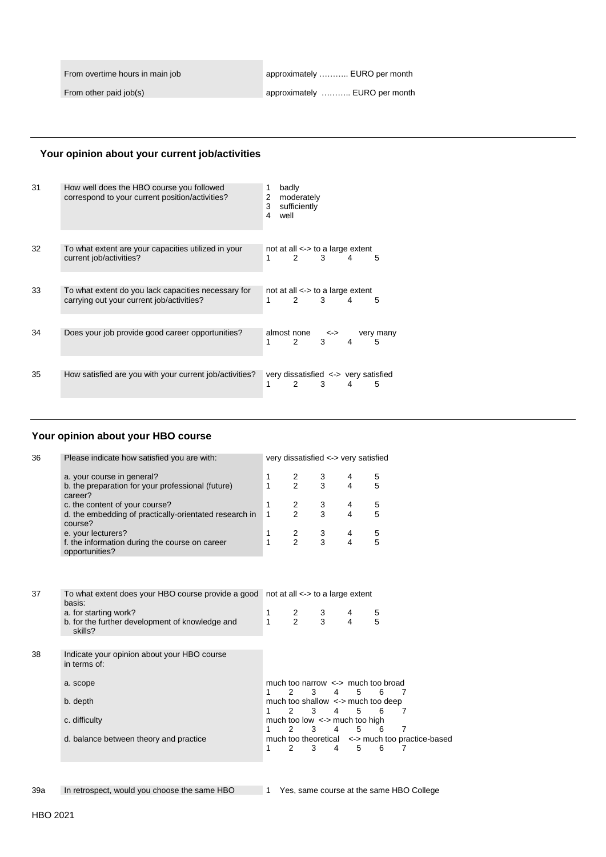From overtime hours in main job

From other paid job(s)

approximately ……….. EURO per month

approximately ……….. EURO per month

#### **Your opinion about your current job/activities**

| 31 | How well does the HBO course you followed<br>correspond to your current position/activities?     | 1<br>2<br>3<br>4 | well | badly<br>moderately<br>sufficiently                   |              |   |                |
|----|--------------------------------------------------------------------------------------------------|------------------|------|-------------------------------------------------------|--------------|---|----------------|
|    |                                                                                                  |                  |      |                                                       |              |   |                |
| 32 | To what extent are your capacities utilized in your<br>current job/activities?                   | 1                |      | not at all $\lt$ > to a large extent<br>$\mathcal{P}$ | 3            | 4 | 5              |
|    |                                                                                                  |                  |      |                                                       |              |   |                |
| 33 | To what extent do you lack capacities necessary for<br>carrying out your current job/activities? | 1                |      | not at all $\lt$ > to a large extent<br>$2^{\circ}$   | $\mathbf{3}$ | 4 | 5              |
|    |                                                                                                  |                  |      |                                                       |              |   |                |
| 34 | Does your job provide good career opportunities?                                                 | 1                |      | almost none<br>$2^{\circ}$                            | <-><br>3     | 4 | very many<br>5 |
|    |                                                                                                  |                  |      |                                                       |              |   |                |
| 35 | How satisfied are you with your current job/activities?                                          | 1                |      | very dissatisfied $\le$ > very satisfied<br>2         | 3            | 4 | 5              |

#### **Your opinion about your HBO course**

| 36 | Please indicate how satisfied you are with:                                                         |        |                                            |                     | very dissatisfied <-> very satisfied    |                                                  |  |  |  |
|----|-----------------------------------------------------------------------------------------------------|--------|--------------------------------------------|---------------------|-----------------------------------------|--------------------------------------------------|--|--|--|
|    | a. your course in general?<br>b. the preparation for your professional (future)<br>career?          | 1<br>1 | 2<br>$\overline{2}$                        | 3<br>3              | 4<br>4                                  | 5<br>5                                           |  |  |  |
|    | c. the content of your course?<br>d. the embedding of practically-orientated research in<br>course? | 1<br>1 | 2<br>$\mathfrak{p}$                        | 3<br>$\overline{3}$ | 4<br>4                                  | 5<br>5                                           |  |  |  |
|    | e. your lecturers?<br>f. the information during the course on career<br>opportunities?              | 1<br>1 | $\overline{c}$<br>$\mathfrak{p}$           | 3<br>3              | 4<br>4                                  | 5<br>5                                           |  |  |  |
|    |                                                                                                     |        |                                            |                     |                                         |                                                  |  |  |  |
| 37 | To what extent does your HBO course provide a good not at all <-> to a large extent<br>basis:       |        |                                            |                     |                                         |                                                  |  |  |  |
|    | a. for starting work?<br>b. for the further development of knowledge and<br>skills?                 | 1<br>1 | $\frac{2}{2}$                              | 3<br>3              | 4<br>4                                  | 5<br>5                                           |  |  |  |
|    |                                                                                                     |        |                                            |                     |                                         |                                                  |  |  |  |
| 38 | Indicate your opinion about your HBO course<br>in terms of:                                         |        |                                            |                     |                                         |                                                  |  |  |  |
|    | a. scope                                                                                            | 1      | 2<br>3                                     | 4                   | 5                                       | much too narrow $\le$ > much too broad<br>6<br>7 |  |  |  |
|    | b. depth                                                                                            | 1      | 3<br>2                                     | 4                   | 5                                       | much too shallow <-> much too deep<br>6<br>7     |  |  |  |
|    | c. difficulty                                                                                       | 1      | $\mathfrak{p}$<br>3                        | 4                   | much too low $\le$ > much too high<br>5 | 7<br>6                                           |  |  |  |
|    | d. balance between theory and practice                                                              | 1      | much too theoretical<br>$\mathcal{P}$<br>3 | 4                   | 5                                       | <-> much too practice-based<br>6<br>7            |  |  |  |
|    |                                                                                                     |        |                                            |                     |                                         |                                                  |  |  |  |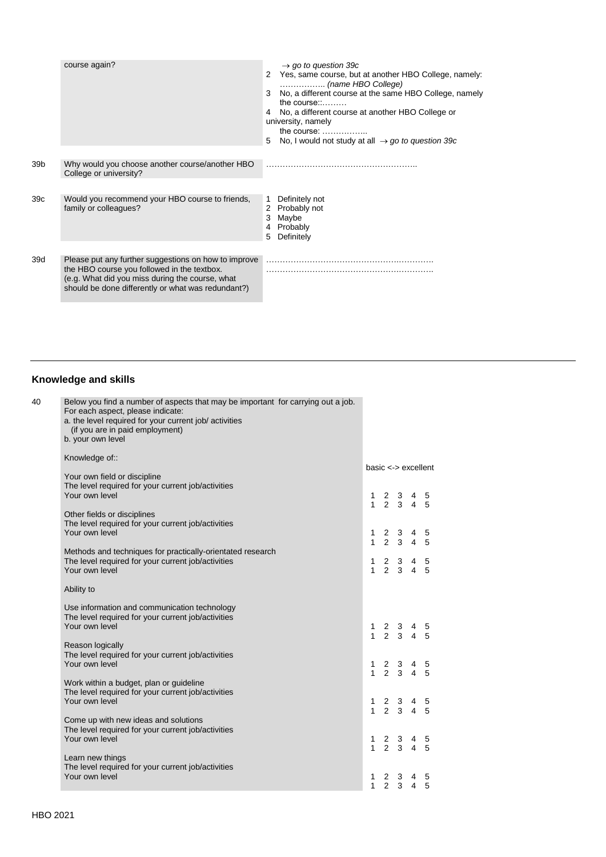|                 | course again?                                                                                                                                                                                                | $\rightarrow$ go to question 39c<br>2 Yes, same course, but at another HBO College, namely:<br>$\ldots$ (name HBO College)<br>No, a different course at the same HBO College, namely<br>the course.<br>4 No, a different course at another HBO College or<br>university, namely<br>the course: $\dots$<br>No, I would not study at all $\rightarrow$ go to question 39c<br>5 |
|-----------------|--------------------------------------------------------------------------------------------------------------------------------------------------------------------------------------------------------------|------------------------------------------------------------------------------------------------------------------------------------------------------------------------------------------------------------------------------------------------------------------------------------------------------------------------------------------------------------------------------|
| 39 <sub>b</sub> | Why would you choose another course/another HBO<br>College or university?                                                                                                                                    |                                                                                                                                                                                                                                                                                                                                                                              |
| 39 <sub>c</sub> | Would you recommend your HBO course to friends,<br>family or colleagues?                                                                                                                                     | Definitely not<br>1<br>2 Probably not<br>Maybe<br>3<br>4 Probably<br>Definitely<br>5                                                                                                                                                                                                                                                                                         |
| 39d             | Please put any further suggestions on how to improve<br>the HBO course you followed in the textbox.<br>(e.g. What did you miss during the course, what<br>should be done differently or what was redundant?) |                                                                                                                                                                                                                                                                                                                                                                              |

## **Knowledge and skills**

| 40 | Below you find a number of aspects that may be important for carrying out a job.<br>For each aspect, please indicate:<br>a. the level required for your current job/ activities<br>(if you are in paid employment)<br>b. your own level |                             |                                                                            |        |
|----|-----------------------------------------------------------------------------------------------------------------------------------------------------------------------------------------------------------------------------------------|-----------------------------|----------------------------------------------------------------------------|--------|
|    | Knowledge of::                                                                                                                                                                                                                          | $base \leftarrow > execute$ |                                                                            |        |
|    | Your own field or discipline                                                                                                                                                                                                            |                             |                                                                            |        |
|    | The level required for your current job/activities<br>Your own level                                                                                                                                                                    |                             | 1 2 3 4 5<br>1 2 3 4 5                                                     |        |
|    | Other fields or disciplines<br>The level required for your current job/activities                                                                                                                                                       |                             |                                                                            |        |
|    | Your own level                                                                                                                                                                                                                          | 1                           | $2 \quad 3 \quad 4 \quad 5$<br>$1 \t2 \t3 \t4 \t5$                         |        |
|    | Methods and techniques for practically-orientated research<br>The level required for your current job/activities                                                                                                                        |                             | 1 2 3 4 5                                                                  |        |
|    | Your own level                                                                                                                                                                                                                          |                             | $1 \t2 \t3 \t4 \t5$                                                        |        |
|    | Ability to                                                                                                                                                                                                                              |                             |                                                                            |        |
|    | Use information and communication technology<br>The level required for your current job/activities<br>Your own level                                                                                                                    |                             | $\begin{array}{cccccc} 1 & 2 & 3 & 4 & 5 \\ 1 & 2 & 3 & 4 & 5 \end{array}$ |        |
|    | Reason logically                                                                                                                                                                                                                        |                             |                                                                            |        |
|    | The level required for your current job/activities<br>Your own level                                                                                                                                                                    |                             | $\begin{array}{cccccc} 1 & 2 & 3 & 4 & 5 \\ 1 & 2 & 3 & 4 & 5 \end{array}$ |        |
|    | Work within a budget, plan or guideline                                                                                                                                                                                                 |                             |                                                                            |        |
|    | The level required for your current job/activities<br>Your own level                                                                                                                                                                    |                             | $\begin{array}{cccccc} 1 & 2 & 3 & 4 & 5 \\ 1 & 2 & 3 & 4 & 5 \end{array}$ |        |
|    | Come up with new ideas and solutions<br>The level required for your current job/activities                                                                                                                                              |                             |                                                                            |        |
|    | Your own level                                                                                                                                                                                                                          |                             | 1 2 3 4 5<br>1 2 3 4 5                                                     |        |
|    | Learn new things<br>The level required for your current job/activities                                                                                                                                                                  |                             |                                                                            |        |
|    | Your own level                                                                                                                                                                                                                          | $\mathbf{1}$                | $\begin{array}{ccc} 2 & 3 & 4 \\ 2 & 3 & 4 \end{array}$                    | 5<br>5 |
|    |                                                                                                                                                                                                                                         |                             |                                                                            |        |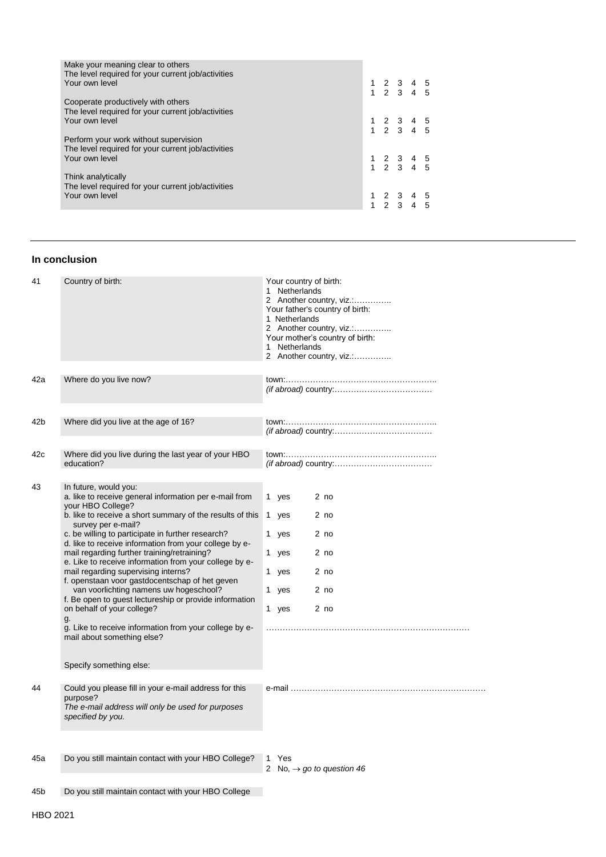| Make your meaning clear to others<br>The level required for your current job/activities<br>Your own level |  | $\begin{array}{cccccc} 1 & 2 & 3 & 4 & 5 \\ 1 & 2 & 3 & 4 & 5 \end{array}$ |  |
|-----------------------------------------------------------------------------------------------------------|--|----------------------------------------------------------------------------|--|
| Cooperate productively with others<br>The level required for your current job/activities                  |  |                                                                            |  |
| Your own level                                                                                            |  | $\begin{array}{cccccc} 1 & 2 & 3 & 4 & 5 \\ 1 & 2 & 3 & 4 & 5 \end{array}$ |  |
| Perform your work without supervision<br>The level required for your current job/activities               |  |                                                                            |  |
| Your own level                                                                                            |  | $\begin{array}{cccccc} 1 & 2 & 3 & 4 & 5 \\ 1 & 2 & 3 & 4 & 5 \end{array}$ |  |
| Think analytically<br>The level required for your current job/activities                                  |  |                                                                            |  |
| Your own level                                                                                            |  | $\begin{array}{cccccc} 1 & 2 & 3 & 4 & 5 \\ 1 & 2 & 3 & 4 & 5 \end{array}$ |  |

#### **In conclusion**

| 41  | Country of birth:                                                                                                                                                                                                                                                                                                                                                                                                                                                                                                                                                                                                                                                                                                                                                   | Your country of birth:<br>1 Netherlands<br>2 Another country, viz.:<br>Your father's country of birth:<br>1 Netherlands<br>2 Another country, viz.:<br>Your mother's country of birth:<br>1 Netherlands<br>2 Another country, viz.: |
|-----|---------------------------------------------------------------------------------------------------------------------------------------------------------------------------------------------------------------------------------------------------------------------------------------------------------------------------------------------------------------------------------------------------------------------------------------------------------------------------------------------------------------------------------------------------------------------------------------------------------------------------------------------------------------------------------------------------------------------------------------------------------------------|-------------------------------------------------------------------------------------------------------------------------------------------------------------------------------------------------------------------------------------|
| 42a | Where do you live now?                                                                                                                                                                                                                                                                                                                                                                                                                                                                                                                                                                                                                                                                                                                                              |                                                                                                                                                                                                                                     |
| 42b | Where did you live at the age of 16?                                                                                                                                                                                                                                                                                                                                                                                                                                                                                                                                                                                                                                                                                                                                |                                                                                                                                                                                                                                     |
| 42c | Where did you live during the last year of your HBO<br>education?                                                                                                                                                                                                                                                                                                                                                                                                                                                                                                                                                                                                                                                                                                   |                                                                                                                                                                                                                                     |
| 43  | In future, would you:<br>a. like to receive general information per e-mail from<br>your HBO College?<br>b. like to receive a short summary of the results of this<br>survey per e-mail?<br>c. be willing to participate in further research?<br>d. like to receive information from your college by e-<br>mail regarding further training/retraining?<br>e. Like to receive information from your college by e-<br>mail regarding supervising interns?<br>f. openstaan voor gastdocentschap of het geven<br>van voorlichting namens uw hogeschool?<br>f. Be open to guest lectureship or provide information<br>on behalf of your college?<br>g.<br>g. Like to receive information from your college by e-<br>mail about something else?<br>Specify something else: | 1 yes<br>2 <sub>no</sub><br>2 <sub>no</sub><br>1 yes<br>2 no<br>1 yes<br>2 <sub>no</sub><br>1 yes<br>2 <sub>no</sub><br>1 yes<br>1 yes<br>2 <sub>no</sub><br>2 <sub>no</sub><br>1 yes                                               |
| 44  | Could you please fill in your e-mail address for this<br>purpose?<br>The e-mail address will only be used for purposes<br>specified by you.                                                                                                                                                                                                                                                                                                                                                                                                                                                                                                                                                                                                                         |                                                                                                                                                                                                                                     |
| 45a | Do you still maintain contact with your HBO College?                                                                                                                                                                                                                                                                                                                                                                                                                                                                                                                                                                                                                                                                                                                | Yes<br>1<br>2 No, $\rightarrow$ go to question 46                                                                                                                                                                                   |
| 45b | Do you still maintain contact with your HBO College                                                                                                                                                                                                                                                                                                                                                                                                                                                                                                                                                                                                                                                                                                                 |                                                                                                                                                                                                                                     |